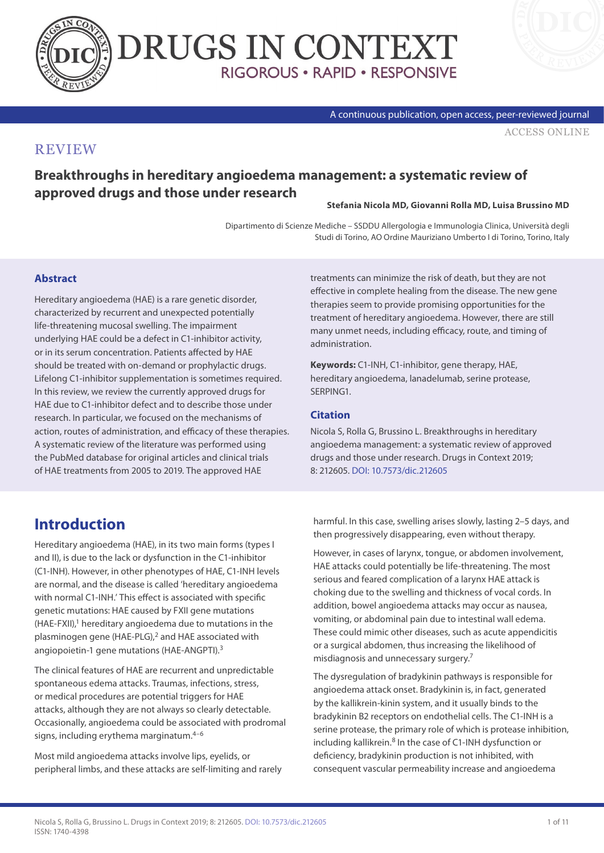



A continuous publication, open access, peer-reviewed journal

[ACCESS ONLINE](https://www.drugsincontext.com/breakthroughs-in-hereditary-angioedema-management:-a-systematic-review-of-approved-drugs-and-those-under-research/)

## **REVIEW**

**Breakthroughs in hereditary angioedema management: a systematic review of approved drugs and those under research**

**Stefania Nicola MD, Giovanni Rolla MD, Luisa Brussino MD**

Dipartimento di Scienze Mediche – SSDDU Allergologia e Immunologia Clinica, Università degli Studi di Torino, AO Ordine Mauriziano Umberto I di Torino, Torino, Italy

#### **Abstract**

Hereditary angioedema (HAE) is a rare genetic disorder, characterized by recurrent and unexpected potentially life-threatening mucosal swelling. The impairment underlying HAE could be a defect in C1-inhibitor activity, or in its serum concentration. Patients affected by HAE should be treated with on-demand or prophylactic drugs. Lifelong C1-inhibitor supplementation is sometimes required. In this review, we review the currently approved drugs for HAE due to C1-inhibitor defect and to describe those under research. In particular, we focused on the mechanisms of action, routes of administration, and efficacy of these therapies. A systematic review of the literature was performed using the PubMed database for original articles and clinical trials of HAE treatments from 2005 to 2019. The approved HAE

# **Introduction**

Hereditary angioedema (HAE), in its two main forms (types I and II), is due to the lack or dysfunction in the C1-inhibitor (C1-INH). However, in other phenotypes of HAE, C1-INH levels are normal, and the disease is called 'hereditary angioedema with normal C1-INH.' This effect is associated with specific genetic mutations: HAE caused by FXII gene mutations (HAE-FXII),<sup>1</sup> hereditary angioedema due to mutations in the plasminogen gene (HAE-PLG),<sup>2</sup> and HAE associated with angiopoietin-1 gene mutations (HAE-ANGPTI).<sup>3</sup>

The clinical features of HAE are recurrent and unpredictable spontaneous edema attacks. Traumas, infections, stress, or medical procedures are potential triggers for HAE attacks, although they are not always so clearly detectable. Occasionally, angioedema could be associated with prodromal signs, including erythema marginatum.4–6

Most mild angioedema attacks involve lips, eyelids, or peripheral limbs, and these attacks are self-limiting and rarely treatments can minimize the risk of death, but they are not effective in complete healing from the disease. The new gene therapies seem to provide promising opportunities for the treatment of hereditary angioedema. However, there are still many unmet needs, including efficacy, route, and timing of administration.

**Keywords:** C1-INH, C1-inhibitor, gene therapy, HAE, hereditary angioedema, lanadelumab, serine protease, SERPING1.

#### **Citation**

Nicola S, Rolla G, Brussino L. Breakthroughs in hereditary angioedema management: a systematic review of approved drugs and those under research. Drugs in Context 2019; 8: 212605. [DOI: 10.7573/dic.212605](https://doi.org/10.7573/dic.212605)

harmful. In this case, swelling arises slowly, lasting 2–5 days, and then progressively disappearing, even without therapy.

However, in cases of larynx, tongue, or abdomen involvement, HAE attacks could potentially be life-threatening. The most serious and feared complication of a larynx HAE attack is choking due to the swelling and thickness of vocal cords. In addition, bowel angioedema attacks may occur as nausea, vomiting, or abdominal pain due to intestinal wall edema. These could mimic other diseases, such as acute appendicitis or a surgical abdomen, thus increasing the likelihood of misdiagnosis and unnecessary surgery.7

The dysregulation of bradykinin pathways is responsible for angioedema attack onset. Bradykinin is, in fact, generated by the kallikrein-kinin system, and it usually binds to the bradykinin B2 receptors on endothelial cells. The C1-INH is a serine protease, the primary role of which is protease inhibition, including kallikrein.<sup>8</sup> In the case of C1-INH dysfunction or deficiency, bradykinin production is not inhibited, with consequent vascular permeability increase and angioedema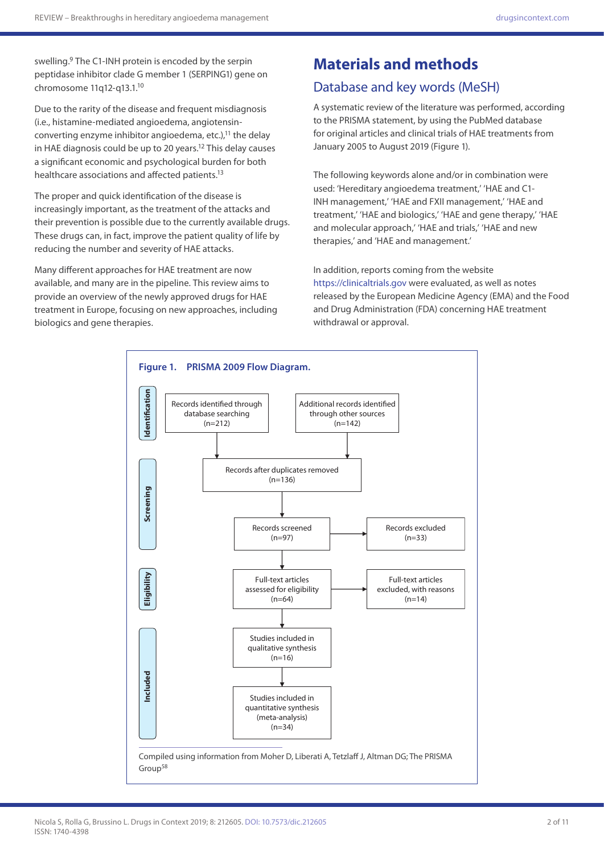swelling.<sup>9</sup> The C1-INH protein is encoded by the serpin peptidase inhibitor clade G member 1 (SERPING1) gene on chromosome 11q12-q13.1.<sup>10</sup>

Due to the rarity of the disease and frequent misdiagnosis (i.e., histamine-mediated angioedema, angiotensinconverting enzyme inhibitor angioedema, etc.), $^{11}$  the delay in HAE diagnosis could be up to 20 years.<sup>12</sup> This delay causes a significant economic and psychological burden for both healthcare associations and affected patients.<sup>13</sup>

The proper and quick identification of the disease is increasingly important, as the treatment of the attacks and their prevention is possible due to the currently available drugs. These drugs can, in fact, improve the patient quality of life by reducing the number and severity of HAE attacks.

Many different approaches for HAE treatment are now available, and many are in the pipeline. This review aims to provide an overview of the newly approved drugs for HAE treatment in Europe, focusing on new approaches, including biologics and gene therapies.

# **Materials and methods**

### Database and key words (MeSH)

A systematic review of the literature was performed, according to the PRISMA statement, by using the PubMed database for original articles and clinical trials of HAE treatments from January 2005 to August 2019 (Figure 1).

The following keywords alone and/or in combination were used: 'Hereditary angioedema treatment,' 'HAE and C1- INH management,' 'HAE and FXII management,' 'HAE and treatment,' 'HAE and biologics,' 'HAE and gene therapy,' 'HAE and molecular approach,' 'HAE and trials,' 'HAE and new therapies,' and 'HAE and management.'

In addition, reports coming from the website [https://clinicaltrials.gov](https://clinicaltrials.gov/) were evaluated, as well as notes released by the European Medicine Agency (EMA) and the Food and Drug Administration (FDA) concerning HAE treatment withdrawal or approval.

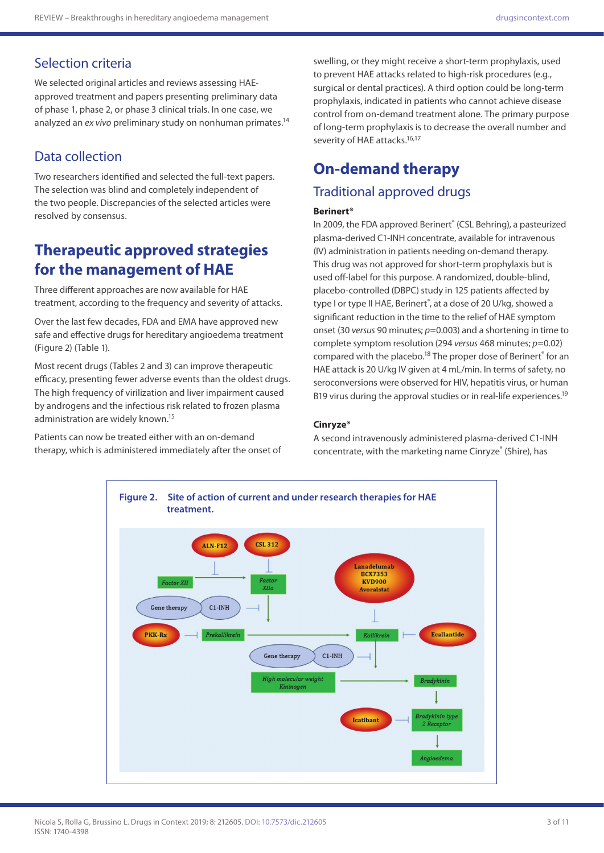# Selection criteria

We selected original articles and reviews assessing HAEapproved treatment and papers presenting preliminary data of phase 1, phase 2, or phase 3 clinical trials. In one case, we analyzed an *ex vivo* preliminary study on nonhuman primates.14

# Data collection

Two researchers identified and selected the full-text papers. The selection was blind and completely independent of the two people. Discrepancies of the selected articles were resolved by consensus.

# **Therapeutic approved strategies for the management of HAE**

Three different approaches are now available for HAE treatment, according to the frequency and severity of attacks.

Over the last few decades, FDA and EMA have approved new safe and effective drugs for hereditary angioedema treatment (Figure 2) (Table 1).

Most recent drugs (Tables 2 and 3) can improve therapeutic efficacy, presenting fewer adverse events than the oldest drugs. The high frequency of virilization and liver impairment caused by androgens and the infectious risk related to frozen plasma administration are widely known.15

Patients can now be treated either with an on-demand therapy, which is administered immediately after the onset of

swelling, or they might receive a short-term prophylaxis, used to prevent HAE attacks related to high-risk procedures (e.g., surgical or dental practices). A third option could be long-term prophylaxis, indicated in patients who cannot achieve disease control from on-demand treatment alone. The primary purpose of long-term prophylaxis is to decrease the overall number and severity of HAE attacks.<sup>16,17</sup>

# **On-demand therapy**

### Traditional approved drugs

#### **Berinert®**

In 2009, the FDA approved Berinert® (CSL Behring), a pasteurized plasma-derived C1-INH concentrate, available for intravenous (IV) administration in patients needing on-demand therapy. This drug was not approved for short-term prophylaxis but is used off-label for this purpose. A randomized, double-blind, placebo-controlled (DBPC) study in 125 patients affected by type I or type II HAE, Berinert®, at a dose of 20 U/kg, showed a significant reduction in the time to the relief of HAE symptom onset (30 *versus* 90 minutes; *p*=0.003) and a shortening in time to complete symptom resolution (294 *versus* 468 minutes; *p*=0.02) compared with the placebo.<sup>18</sup> The proper dose of Berinert<sup>®</sup> for an HAE attack is 20 U/kg IV given at 4 mL/min. In terms of safety, no seroconversions were observed for HIV, hepatitis virus, or human B19 virus during the approval studies or in real-life experiences.<sup>19</sup>

#### **Cinryze®**

A second intravenously administered plasma-derived C1-INH concentrate, with the marketing name Cinryze® (Shire), has

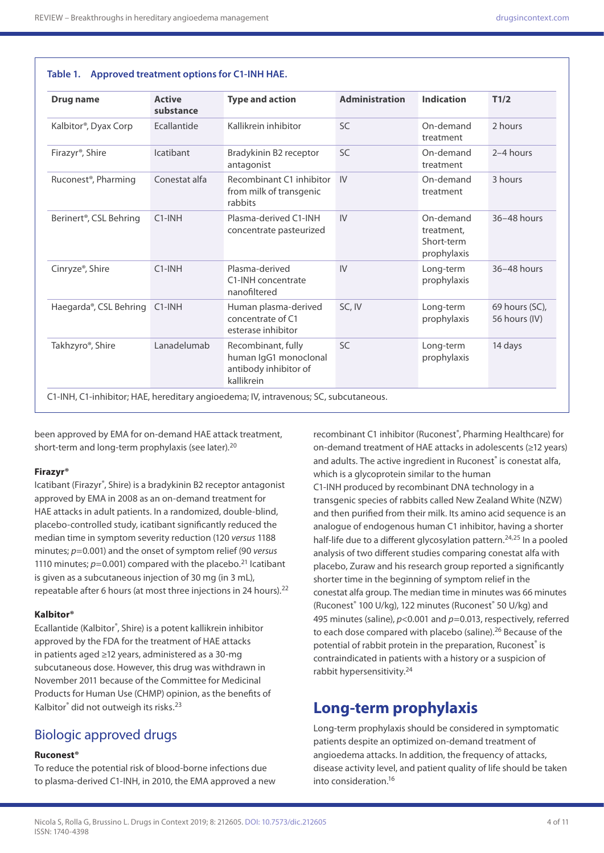**Table 1. Approved treatment options for C1-INH HAE.**

| <b>Drug name</b>                    | <b>Active</b><br>substance | <b>Type and action</b>                                                             | <b>Administration</b> | <b>Indication</b>                                    | T1/2                            |
|-------------------------------------|----------------------------|------------------------------------------------------------------------------------|-----------------------|------------------------------------------------------|---------------------------------|
| Kalbitor <sup>®</sup> , Dyax Corp   | Ecallantide                | Kallikrein inhibitor                                                               | <b>SC</b>             | On-demand<br>treatment                               | 2 hours                         |
| Firazyr <sup>®</sup> , Shire        | <b>Icatibant</b>           | Bradykinin B2 receptor<br>antagonist                                               | SC                    | On-demand<br>2-4 hours<br>treatment                  |                                 |
| Ruconest <sup>®</sup> , Pharming    | Conestat alfa              | Recombinant C1 inhibitor<br>from milk of transgenic<br>rabbits                     | IV                    | On-demand<br>3 hours<br>treatment                    |                                 |
| Berinert <sup>®</sup> , CSL Behring | $C1$ -INH                  | Plasma-derived C1-INH<br>concentrate pasteurized                                   | IV                    | On-demand<br>treatment,<br>Short-term<br>prophylaxis | 36-48 hours                     |
| Cinryze®, Shire                     | $C1$ -INH                  | Plasma-derived<br>C1-INH concentrate<br>nanofiltered                               | IV                    | Long-term<br>prophylaxis                             | 36-48 hours                     |
| Haegarda®, CSL Behring              | $C1$ -INH                  | Human plasma-derived<br>concentrate of C1<br>esterase inhibitor                    | SC, IV                | Long-term<br>prophylaxis                             | 69 hours (SC),<br>56 hours (IV) |
| Takhzyro <sup>®</sup> , Shire       | Lanadelumab                | Recombinant, fully<br>human IgG1 monoclonal<br>antibody inhibitor of<br>kallikrein | <b>SC</b>             | Long-term<br>prophylaxis                             | 14 days                         |

been approved by EMA for on-demand HAE attack treatment, short-term and long-term prophylaxis (see later).<sup>20</sup>

#### **Firazyr®**

Icatibant (Firazyr®, Shire) is a bradykinin B2 receptor antagonist approved by EMA in 2008 as an on-demand treatment for HAE attacks in adult patients. In a randomized, double-blind, placebo-controlled study, icatibant significantly reduced the median time in symptom severity reduction (120 *versus* 1188 minutes; *p*=0.001) and the onset of symptom relief (90 *versus* 1110 minutes;  $p=0.001$ ) compared with the placebo.<sup>21</sup> Icatibant is given as a subcutaneous injection of 30 mg (in 3 mL), repeatable after 6 hours (at most three injections in 24 hours).<sup>22</sup>

#### **Kalbitor®**

Ecallantide (Kalbitor®, Shire) is a potent kallikrein inhibitor approved by the FDA for the treatment of HAE attacks in patients aged ≥12 years, administered as a 30-mg subcutaneous dose. However, this drug was withdrawn in November 2011 because of the Committee for Medicinal Products for Human Use (CHMP) opinion, as the benefits of Kalbitor® did not outweigh its risks.<sup>23</sup>

## Biologic approved drugs

#### **Ruconest®**

To reduce the potential risk of blood-borne infections due to plasma-derived C1-INH, in 2010, the EMA approved a new

recombinant C1 inhibitor (Ruconest®, Pharming Healthcare) for on-demand treatment of HAE attacks in adolescents (≥12 years) and adults. The active ingredient in Ruconest® is conestat alfa, which is a glycoprotein similar to the human

C1-INH produced by recombinant DNA technology in a transgenic species of rabbits called New Zealand White (NZW) and then purified from their milk. Its amino acid sequence is an analogue of endogenous human C1 inhibitor, having a shorter half-life due to a different glycosylation pattern.<sup>24,25</sup> In a pooled analysis of two different studies comparing conestat alfa with placebo, Zuraw and his research group reported a significantly shorter time in the beginning of symptom relief in the conestat alfa group. The median time in minutes was 66 minutes (Ruconest<sup>®</sup> 100 U/kg), 122 minutes (Ruconest<sup>®</sup> 50 U/kg) and 495 minutes (saline), *p*<0.001 and *p*=0.013, respectively, referred to each dose compared with placebo (saline).<sup>26</sup> Because of the potential of rabbit protein in the preparation, Ruconest® is contraindicated in patients with a history or a suspicion of rabbit hypersensitivity.24

## **Long-term prophylaxis**

Long-term prophylaxis should be considered in symptomatic patients despite an optimized on-demand treatment of angioedema attacks. In addition, the frequency of attacks, disease activity level, and patient quality of life should be taken into consideration.16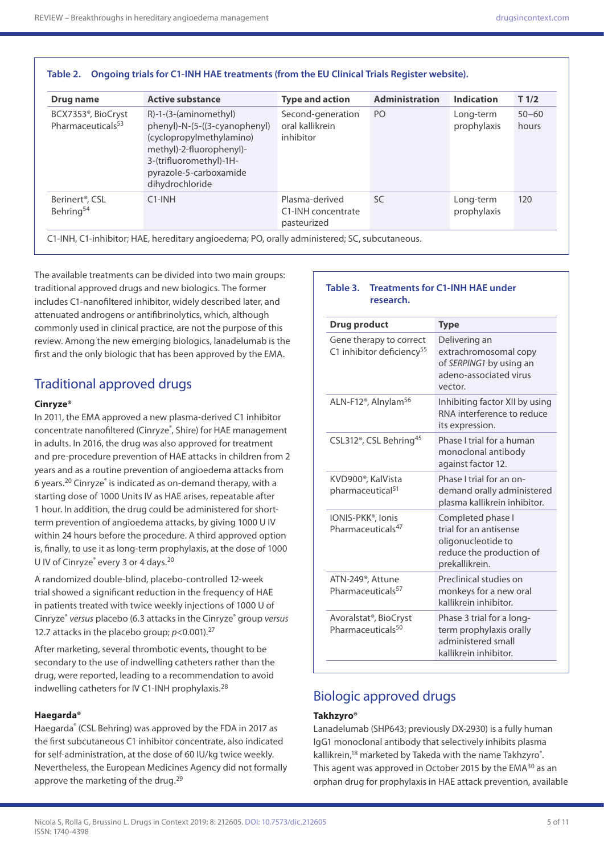| Drug name                                                        | <b>Active substance</b>                                                                                                                                                                  | <b>Type and action</b>                              | <b>Administration</b> | <b>Indication</b>        | T <sub>1/2</sub>   |
|------------------------------------------------------------------|------------------------------------------------------------------------------------------------------------------------------------------------------------------------------------------|-----------------------------------------------------|-----------------------|--------------------------|--------------------|
| BCX7353 <sup>®</sup> , BioCryst<br>Pharmaceuticals <sup>53</sup> | $R$ -1-(3-(aminomethyl)<br>phenyl)-N-(5-((3-cyanophenyl)<br>(cyclopropylmethylamino)<br>methyl)-2-fluorophenyl)-<br>3-(trifluoromethyl)-1H-<br>pyrazole-5-carboxamide<br>dihydrochloride | Second-generation<br>oral kallikrein<br>inhibitor   | P <sub>O</sub>        | Long-term<br>prophylaxis | $50 - 60$<br>hours |
| Berinert <sup>®</sup> , CSL<br>Behring <sup>54</sup>             | $C1$ -INH                                                                                                                                                                                | Plasma-derived<br>C1-INH concentrate<br>pasteurized | <b>SC</b>             | Long-term<br>prophylaxis | 120                |

### **Table 2. Ongoing trials for C1-INH HAE treatments (from the EU Clinical Trials Register website).**

The available treatments can be divided into two main groups: traditional approved drugs and new biologics. The former includes C1-nanofiltered inhibitor, widely described later, and attenuated androgens or antifibrinolytics, which, although commonly used in clinical practice, are not the purpose of this review. Among the new emerging biologics, lanadelumab is the first and the only biologic that has been approved by the EMA.

## Traditional approved drugs

#### **Cinryze®**

In 2011, the EMA approved a new plasma-derived C1 inhibitor concentrate nanofiltered (Cinryze®, Shire) for HAE management in adults. In 2016, the drug was also approved for treatment and pre-procedure prevention of HAE attacks in children from 2 years and as a routine prevention of angioedema attacks from 6 years.<sup>20</sup> Cinryze<sup>®</sup> is indicated as on-demand therapy, with a starting dose of 1000 Units IV as HAE arises, repeatable after 1 hour. In addition, the drug could be administered for shortterm prevention of angioedema attacks, by giving 1000 U IV within 24 hours before the procedure. A third approved option is, finally, to use it as long-term prophylaxis, at the dose of 1000 U IV of Cinryze<sup>®</sup> every 3 or 4 days.<sup>20</sup>

A randomized double-blind, placebo-controlled 12-week trial showed a significant reduction in the frequency of HAE in patients treated with twice weekly injections of 1000 U of Cinryze® *versus* placebo (6.3 attacks in the Cinryze® group *versus* 12.7 attacks in the placebo group;  $p$ <0.001).<sup>27</sup>

After marketing, several thrombotic events, thought to be secondary to the use of indwelling catheters rather than the drug, were reported, leading to a recommendation to avoid indwelling catheters for IV C1-INH prophylaxis.28

#### **Haegarda®**

Haegarda® (CSL Behring) was approved by the FDA in 2017 as the first subcutaneous C1 inhibitor concentrate, also indicated for self-administration, at the dose of 60 IU/kg twice weekly. Nevertheless, the European Medicines Agency did not formally approve the marketing of the drug.<sup>29</sup>

#### **Table 3. Treatments for C1-INH HAE under research.**

| Drug product                                                        | <b>Type</b>                                                                                                     |  |  |
|---------------------------------------------------------------------|-----------------------------------------------------------------------------------------------------------------|--|--|
| Gene therapy to correct<br>C1 inhibitor deficiency <sup>55</sup>    | Delivering an<br>extrachromosomal copy<br>of SERPING1 by using an<br>adeno-associated virus<br>vector.          |  |  |
| ALN-F12 <sup>®</sup> , Alnylam <sup>56</sup>                        | Inhibiting factor XII by using<br>RNA interference to reduce<br>its expression.                                 |  |  |
| CSL312 <sup>®</sup> , CSL Behring <sup>45</sup>                     | Phase I trial for a human<br>monoclonal antibody<br>against factor 12.                                          |  |  |
| KVD900 <sup>®</sup> , KalVista<br>pharmaceutical <sup>51</sup>      | Phase I trial for an on-<br>demand orally administered<br>plasma kallikrein inhibitor.                          |  |  |
| IONIS-PKK®, Ionis<br>Pharmaceuticals <sup>47</sup>                  | Completed phase I<br>trial for an antisense<br>oligonucleotide to<br>reduce the production of<br>prekallikrein. |  |  |
| ATN-249 <sup>®</sup> , Attune<br>Pharmaceuticals <sup>57</sup>      | Preclinical studies on<br>monkeys for a new oral<br>kallikrein inhibitor.                                       |  |  |
| Avoralstat <sup>®</sup> , BioCryst<br>Pharmaceuticals <sup>50</sup> | Phase 3 trial for a long-<br>term prophylaxis orally<br>administered small<br>kallikrein inhibitor.             |  |  |

## Biologic approved drugs

#### **Takhzyro®**

Lanadelumab (SHP643; previously DX-2930) is a fully human IgG1 monoclonal antibody that selectively inhibits plasma kallikrein,<sup>18</sup> marketed by Takeda with the name Takhzyro<sup>®</sup>. This agent was approved in October 2015 by the EMA<sup>30</sup> as an orphan drug for prophylaxis in HAE attack prevention, available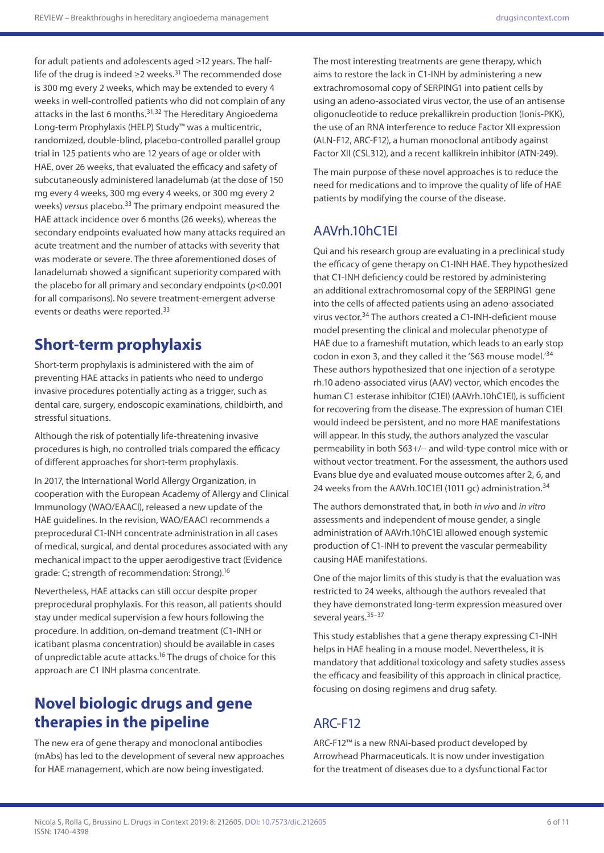for adult patients and adolescents aged ≥12 years. The halflife of the drug is indeed ≥2 weeks.<sup>31</sup> The recommended dose is 300 mg every 2 weeks, which may be extended to every 4 weeks in well-controlled patients who did not complain of any attacks in the last 6 months.<sup>31,32</sup> The Hereditary Angioedema Long-term Prophylaxis (HELP) Study™ was a multicentric, randomized, double-blind, placebo-controlled parallel group trial in 125 patients who are 12 years of age or older with HAE, over 26 weeks, that evaluated the efficacy and safety of subcutaneously administered lanadelumab (at the dose of 150 mg every 4 weeks, 300 mg every 4 weeks, or 300 mg every 2 weeks) *versus* placebo.33 The primary endpoint measured the HAE attack incidence over 6 months (26 weeks), whereas the secondary endpoints evaluated how many attacks required an acute treatment and the number of attacks with severity that was moderate or severe. The three aforementioned doses of lanadelumab showed a significant superiority compared with the placebo for all primary and secondary endpoints (*p*<0.001 for all comparisons). No severe treatment-emergent adverse events or deaths were reported.33

# **Short-term prophylaxis**

Short-term prophylaxis is administered with the aim of preventing HAE attacks in patients who need to undergo invasive procedures potentially acting as a trigger, such as dental care, surgery, endoscopic examinations, childbirth, and stressful situations.

Although the risk of potentially life-threatening invasive procedures is high, no controlled trials compared the efficacy of different approaches for short-term prophylaxis.

In 2017, the International World Allergy Organization, in cooperation with the European Academy of Allergy and Clinical Immunology (WAO/EAACI), released a new update of the HAE guidelines. In the revision, WAO/EAACI recommends a preprocedural C1-INH concentrate administration in all cases of medical, surgical, and dental procedures associated with any mechanical impact to the upper aerodigestive tract (Evidence grade: C; strength of recommendation: Strong).16

Nevertheless, HAE attacks can still occur despite proper preprocedural prophylaxis. For this reason, all patients should stay under medical supervision a few hours following the procedure. In addition, on-demand treatment (C1-INH or icatibant plasma concentration) should be available in cases of unpredictable acute attacks.16 The drugs of choice for this approach are C1 INH plasma concentrate.

# **Novel biologic drugs and gene therapies in the pipeline**

The new era of gene therapy and monoclonal antibodies (mAbs) has led to the development of several new approaches for HAE management, which are now being investigated.

The most interesting treatments are gene therapy, which aims to restore the lack in C1-INH by administering a new extrachromosomal copy of SERPING1 into patient cells by using an adeno-associated virus vector, the use of an antisense oligonucleotide to reduce prekallikrein production (Ionis-PKK), the use of an RNA interference to reduce Factor XII expression (ALN-F12, ARC-F12), a human monoclonal antibody against Factor XII (CSL312), and a recent kallikrein inhibitor (ATN-249).

The main purpose of these novel approaches is to reduce the need for medications and to improve the quality of life of HAE patients by modifying the course of the disease.

# AAVrh.10hC1EI

Qui and his research group are evaluating in a preclinical study the efficacy of gene therapy on C1-INH HAE. They hypothesized that C1-INH deficiency could be restored by administering an additional extrachromosomal copy of the SERPING1 gene into the cells of affected patients using an adeno-associated virus vector.34 The authors created a C1-INH-deficient mouse model presenting the clinical and molecular phenotype of HAE due to a frameshift mutation, which leads to an early stop codon in exon 3, and they called it the 'S63 mouse model.'34 These authors hypothesized that one injection of a serotype rh.10 adeno-associated virus (AAV) vector, which encodes the human C1 esterase inhibitor (C1EI) (AAVrh.10hC1EI), is sufficient for recovering from the disease. The expression of human C1EI would indeed be persistent, and no more HAE manifestations will appear. In this study, the authors analyzed the vascular permeability in both S63+/− and wild-type control mice with or without vector treatment. For the assessment, the authors used Evans blue dye and evaluated mouse outcomes after 2, 6, and 24 weeks from the AAVrh.10C1EI (1011 gc) administration.<sup>34</sup>

The authors demonstrated that, in both *in vivo* and *in vitro* assessments and independent of mouse gender, a single administration of AAVrh.10hC1EI allowed enough systemic production of C1-INH to prevent the vascular permeability causing HAE manifestations.

One of the major limits of this study is that the evaluation was restricted to 24 weeks, although the authors revealed that they have demonstrated long-term expression measured over several years.<sup>35-37</sup>

This study establishes that a gene therapy expressing C1-INH helps in HAE healing in a mouse model. Nevertheless, it is mandatory that additional toxicology and safety studies assess the efficacy and feasibility of this approach in clinical practice, focusing on dosing regimens and drug safety.

# ARC-F12

ARC-F12™ is a new RNAi-based product developed by Arrowhead Pharmaceuticals. It is now under investigation for the treatment of diseases due to a dysfunctional Factor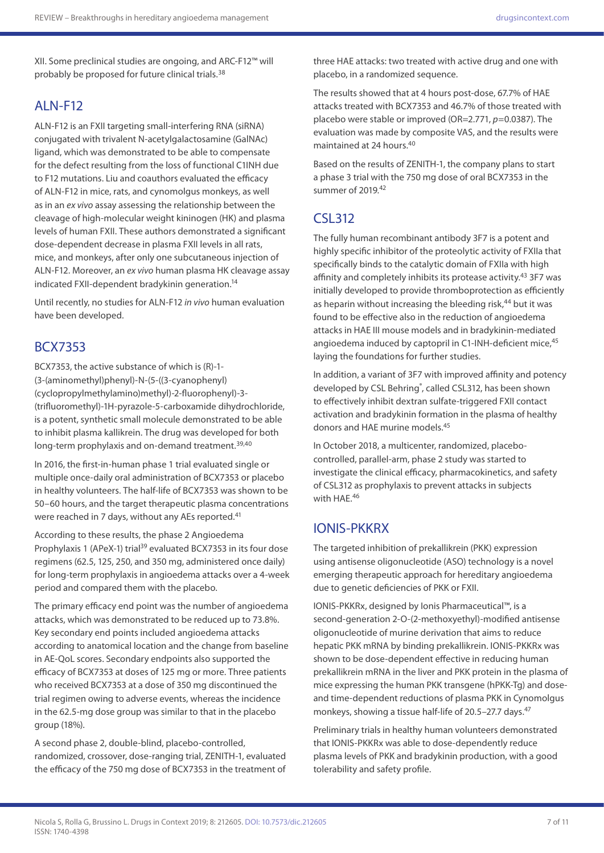XII. Some preclinical studies are ongoing, and ARC-F12™ will probably be proposed for future clinical trials.38

## ALN-F12

ALN-F12 is an FXII targeting small-interfering RNA (siRNA) conjugated with trivalent N-acetylgalactosamine (GalNAc) ligand, which was demonstrated to be able to compensate for the defect resulting from the loss of functional C1INH due to F12 mutations. Liu and coauthors evaluated the efficacy of ALN-F12 in mice, rats, and cynomolgus monkeys, as well as in an *ex vivo* assay assessing the relationship between the cleavage of high-molecular weight kininogen (HK) and plasma levels of human FXII. These authors demonstrated a significant dose-dependent decrease in plasma FXII levels in all rats, mice, and monkeys, after only one subcutaneous injection of ALN-F12. Moreover, an *ex vivo* human plasma HK cleavage assay indicated FXII-dependent bradykinin generation.14

Until recently, no studies for ALN-F12 *in vivo* human evaluation have been developed.

### BCX7353

BCX7353, the active substance of which is (R)-1- (3-(aminomethyl)phenyl)-N-(5-((3-cyanophenyl) (cyclopropylmethylamino)methyl)-2-fluorophenyl)-3- (trifluoromethyl)-1H-pyrazole-5-carboxamide dihydrochloride, is a potent, synthetic small molecule demonstrated to be able to inhibit plasma kallikrein. The drug was developed for both long-term prophylaxis and on-demand treatment.<sup>39,40</sup>

In 2016, the first-in-human phase 1 trial evaluated single or multiple once-daily oral administration of BCX7353 or placebo in healthy volunteers. The half-life of BCX7353 was shown to be 50–60 hours, and the target therapeutic plasma concentrations were reached in 7 days, without any AEs reported.<sup>41</sup>

According to these results, the phase 2 Angioedema Prophylaxis 1 (APeX-1) trial<sup>39</sup> evaluated BCX7353 in its four dose regimens (62.5, 125, 250, and 350 mg, administered once daily) for long-term prophylaxis in angioedema attacks over a 4-week period and compared them with the placebo.

The primary efficacy end point was the number of angioedema attacks, which was demonstrated to be reduced up to 73.8%. Key secondary end points included angioedema attacks according to anatomical location and the change from baseline in AE-QoL scores. Secondary endpoints also supported the efficacy of BCX7353 at doses of 125 mg or more. Three patients who received BCX7353 at a dose of 350 mg discontinued the trial regimen owing to adverse events, whereas the incidence in the 62.5-mg dose group was similar to that in the placebo group (18%).

A second phase 2, double-blind, placebo-controlled, randomized, crossover, dose-ranging trial, ZENITH-1, evaluated the efficacy of the 750 mg dose of BCX7353 in the treatment of three HAE attacks: two treated with active drug and one with placebo, in a randomized sequence.

The results showed that at 4 hours post-dose, 67.7% of HAE attacks treated with BCX7353 and 46.7% of those treated with placebo were stable or improved (OR=2.771, *p*=0.0387). The evaluation was made by composite VAS, and the results were maintained at 24 hours.40

Based on the results of ZENITH-1, the company plans to start a phase 3 trial with the 750 mg dose of oral BCX7353 in the summer of 2019.42

### CSL312

The fully human recombinant antibody 3F7 is a potent and highly specific inhibitor of the proteolytic activity of FXIIa that specifically binds to the catalytic domain of FXIIa with high affinity and completely inhibits its protease activity.<sup>43</sup> 3F7 was initially developed to provide thromboprotection as efficiently as heparin without increasing the bleeding risk,<sup>44</sup> but it was found to be effective also in the reduction of angioedema attacks in HAE III mouse models and in bradykinin-mediated angioedema induced by captopril in C1-INH-deficient mice, <sup>45</sup> laying the foundations for further studies.

In addition, a variant of 3F7 with improved affinity and potency developed by CSL Behring®, called CSL312, has been shown to effectively inhibit dextran sulfate-triggered FXII contact activation and bradykinin formation in the plasma of healthy donors and HAE murine models.45

In October 2018, a multicenter, randomized, placebocontrolled, parallel-arm, phase 2 study was started to investigate the clinical efficacy, pharmacokinetics, and safety of CSL312 as prophylaxis to prevent attacks in subjects with HAE.46

### IONIS-PKKRX

The targeted inhibition of prekallikrein (PKK) expression using antisense oligonucleotide (ASO) technology is a novel emerging therapeutic approach for hereditary angioedema due to genetic deficiencies of PKK or FXII.

IONIS-PKKRx, designed by Ionis Pharmaceutical™, is a second-generation 2-O-(2-methoxyethyl)-modified antisense oligonucleotide of murine derivation that aims to reduce hepatic PKK mRNA by binding prekallikrein. IONIS-PKKRx was shown to be dose-dependent effective in reducing human prekallikrein mRNA in the liver and PKK protein in the plasma of mice expressing the human PKK transgene (hPKK-Tg) and doseand time-dependent reductions of plasma PKK in Cynomolgus monkeys, showing a tissue half-life of 20.5-27.7 days.<sup>47</sup>

Preliminary trials in healthy human volunteers demonstrated that IONIS-PKKRx was able to dose-dependently reduce plasma levels of PKK and bradykinin production, with a good tolerability and safety profile.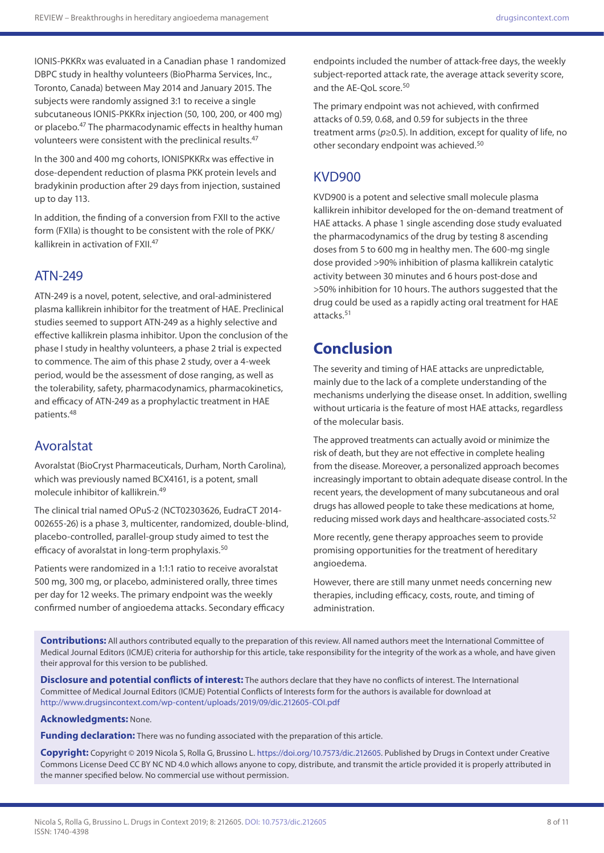IONIS-PKKRx was evaluated in a Canadian phase 1 randomized DBPC study in healthy volunteers (BioPharma Services, Inc., Toronto, Canada) between May 2014 and January 2015. The subjects were randomly assigned 3:1 to receive a single subcutaneous IONIS-PKKRx injection (50, 100, 200, or 400 mg) or placebo.47 The pharmacodynamic effects in healthy human volunteers were consistent with the preclinical results.<sup>47</sup>

In the 300 and 400 mg cohorts, IONISPKKRx was effective in dose-dependent reduction of plasma PKK protein levels and bradykinin production after 29 days from injection, sustained up to day 113.

In addition, the finding of a conversion from FXII to the active form (FXIIa) is thought to be consistent with the role of PKK/ kallikrein in activation of FXII.47

### ATN-249

ATN-249 is a novel, potent, selective, and oral-administered plasma kallikrein inhibitor for the treatment of HAE. Preclinical studies seemed to support ATN-249 as a highly selective and effective kallikrein plasma inhibitor. Upon the conclusion of the phase I study in healthy volunteers, a phase 2 trial is expected to commence. The aim of this phase 2 study, over a 4-week period, would be the assessment of dose ranging, as well as the tolerability, safety, pharmacodynamics, pharmacokinetics, and efficacy of ATN-249 as a prophylactic treatment in HAE patients.48

### Avoralstat

Avoralstat (BioCryst Pharmaceuticals, Durham, North Carolina), which was previously named BCX4161, is a potent, small molecule inhibitor of kallikrein.49

The clinical trial named OPuS-2 (NCT02303626, EudraCT 2014- 002655-26) is a phase 3, multicenter, randomized, double-blind, placebo-controlled, parallel-group study aimed to test the efficacy of avoralstat in long-term prophylaxis.<sup>50</sup>

Patients were randomized in a 1:1:1 ratio to receive avoralstat 500 mg, 300 mg, or placebo, administered orally, three times per day for 12 weeks. The primary endpoint was the weekly confirmed number of angioedema attacks. Secondary efficacy endpoints included the number of attack-free days, the weekly subject-reported attack rate, the average attack severity score, and the AE-OoL score.<sup>50</sup>

The primary endpoint was not achieved, with confirmed attacks of 0.59, 0.68, and 0.59 for subjects in the three treatment arms (*p*≥0.5). In addition, except for quality of life, no other secondary endpoint was achieved.50

### KVD900

KVD900 is a potent and selective small molecule plasma kallikrein inhibitor developed for the on-demand treatment of HAE attacks. A phase 1 single ascending dose study evaluated the pharmacodynamics of the drug by testing 8 ascending doses from 5 to 600 mg in healthy men. The 600-mg single dose provided >90% inhibition of plasma kallikrein catalytic activity between 30 minutes and 6 hours post-dose and >50% inhibition for 10 hours. The authors suggested that the drug could be used as a rapidly acting oral treatment for HAE attacks.51

# **Conclusion**

The severity and timing of HAE attacks are unpredictable, mainly due to the lack of a complete understanding of the mechanisms underlying the disease onset. In addition, swelling without urticaria is the feature of most HAE attacks, regardless of the molecular basis.

The approved treatments can actually avoid or minimize the risk of death, but they are not effective in complete healing from the disease. Moreover, a personalized approach becomes increasingly important to obtain adequate disease control. In the recent years, the development of many subcutaneous and oral drugs has allowed people to take these medications at home, reducing missed work days and healthcare-associated costs.<sup>52</sup>

More recently, gene therapy approaches seem to provide promising opportunities for the treatment of hereditary angioedema.

However, there are still many unmet needs concerning new therapies, including efficacy, costs, route, and timing of administration.

**Contributions:** All authors contributed equally to the preparation of this review. All named authors meet the International Committee of Medical Journal Editors (ICMJE) criteria for authorship for this article, take responsibility for the integrity of the work as a whole, and have given their approval for this version to be published.

**Disclosure and potential conflicts of interest:** The authors declare that they have no conflicts of interest. The International Committee of Medical Journal Editors (ICMJE) Potential Conflicts of Interests form for the authors is available for download at <http://www.drugsincontext.com/wp-content/uploads/2019/09/dic.212605-COI.pdf>

#### **Acknowledgments:** None.

**Funding declaration:** There was no funding associated with the preparation of this article.

**Copyright:** Copyright © 2019 Nicola S, Rolla G, Brussino L. [https://doi.org/10.7573/dic.212605.](https://doi.org/10.7573/dic.212605) Published by Drugs in Context under Creative Commons License Deed CC BY NC ND 4.0 which allows anyone to copy, distribute, and transmit the article provided it is properly attributed in the manner specified below. No commercial use without permission.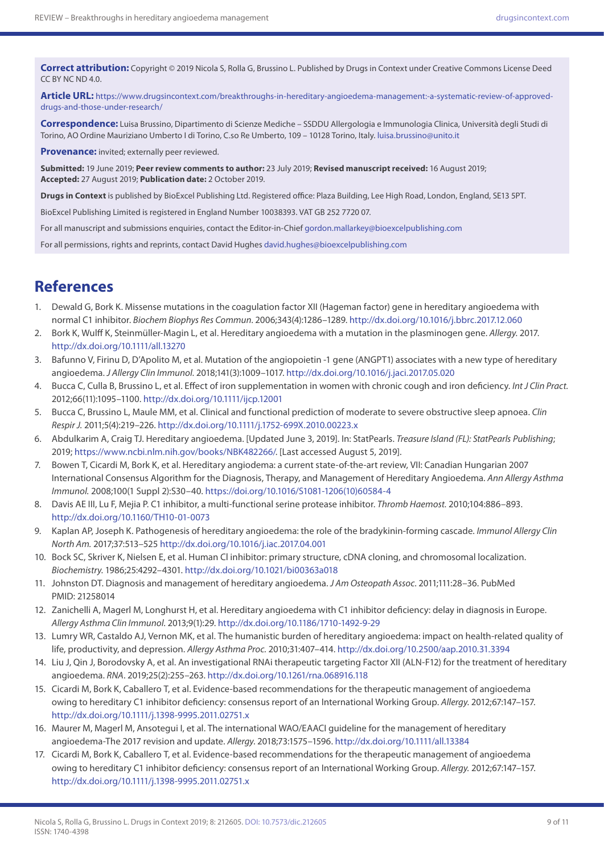**Correct attribution:** Copyright © 2019 Nicola S, Rolla G, Brussino L. Published by Drugs in Context under Creative Commons License Deed CC BY NC ND 4.0.

**Article URL:** [https://www.drugsincontext.com/breakthroughs-in-hereditary-angioedema-management:-a-systematic-review-of-approved](https://www.drugsincontext.com/breakthroughs-in-hereditary-angioedema-management:-a-systematic-review-of-approved-drugs-and-those-under-research/)[drugs-and-those-under-research/](https://www.drugsincontext.com/breakthroughs-in-hereditary-angioedema-management:-a-systematic-review-of-approved-drugs-and-those-under-research/)

**Correspondence:** Luisa Brussino, Dipartimento di Scienze Mediche – SSDDU Allergologia e Immunologia Clinica, Università degli Studi di Torino, AO Ordine Mauriziano Umberto I di Torino, C.so Re Umberto, 109 – 10128 Torino, Italy. [luisa.brussino@unito.it](mailto:luisa.brussino@unito.it)

**Provenance:** invited; externally peer reviewed.

**Submitted:** 19 June 2019; **Peer review comments to author:** 23 July 2019; **Revised manuscript received:** 16 August 2019; **Accepted:** 27 August 2019; **Publication date:** 2 October 2019.

**Drugs in Context** is published by BioExcel Publishing Ltd. Registered office: Plaza Building, Lee High Road, London, England, SE13 5PT.

BioExcel Publishing Limited is registered in England Number 10038393. VAT GB 252 7720 07.

For all manuscript and submissions enquiries, contact the Editor-in-Chief [gordon.mallarkey@bioexcelpublishing.com](mailto:gordon.mallarkey@bioexcelpublishing.com)

For all permissions, rights and reprints, contact David Hughes [david.hughes@bioexcelpublishing.com](mailto:david.hughes@bioexcelpublishing.com)

## **References**

- 1. Dewald G, Bork K. Missense mutations in the coagulation factor XII (Hageman factor) gene in hereditary angioedema with normal C1 inhibitor. *Biochem Biophys Res Commun*. 2006;343(4):1286–1289. <http://dx.doi.org/10.1016/j.bbrc.2017.12.060>
- 2. Bork K, Wulff K, Steinmüller-Magin L, et al. Hereditary angioedema with a mutation in the plasminogen gene. *Allergy*. 2017. <http://dx.doi.org/10.1111/all.13270>
- 3. Bafunno V, Firinu D, D'Apolito M, et al. Mutation of the angiopoietin -1 gene (ANGPT1) associates with a new type of hereditary angioedema. *J Allergy Clin Immunol*. 2018;141(3):1009–1017.<http://dx.doi.org/10.1016/j.jaci.2017.05.020>
- 4. Bucca C, Culla B, Brussino L, et al. Effect of iron supplementation in women with chronic cough and iron deficiency. *Int J Clin Pract.* 2012;66(11):1095–1100.<http://dx.doi.org/10.1111/ijcp.12001>
- 5. Bucca C, Brussino L, Maule MM, et al. Clinical and functional prediction of moderate to severe obstructive sleep apnoea. *Clin Respir J.* 2011;5(4):219–226. <http://dx.doi.org/10.1111/j.1752-699X.2010.00223.x>
- 6. Abdulkarim A, Craig TJ. Hereditary angioedema. [Updated June 3, 2019]. In: StatPearls. *Treasure Island (FL): StatPearls Publishing*; 2019; [https://www.ncbi.nlm.nih.gov/books/NBK482266/.](https://www.ncbi.nlm.nih.gov/books/NBK482266/) [Last accessed August 5, 2019].
- 7. Bowen T, Cicardi M, Bork K, et al. Hereditary angiodema: a current state-of-the-art review, VII: Canadian Hungarian 2007 International Consensus Algorithm for the Diagnosis, Therapy, and Management of Hereditary Angioedema*. Ann Allergy Asthma Immunol.* 2008;100(1 Suppl 2):S30–40. [https://doi.org/10.1016/S1081-1206\(10\)60584-4](https://doi.org/10.1016/S1081-1206(10)60584-4)
- 8. Davis AE III, Lu F, Mejia P. C1 inhibitor, a multi-functional serine protease inhibitor. *Thromb Haemost.* 2010;104:886–893. <http://dx.doi.org/10.1160/TH10-01-0073>
- 9. Kaplan AP, Joseph K. Pathogenesis of hereditary angioedema: the role of the bradykinin-forming cascade. *Immunol Allergy Clin North Am.* 2017;37:513–525 <http://dx.doi.org/10.1016/j.iac.2017.04.001>
- 10. Bock SC, Skriver K, Nielsen E, et al. Human Cl inhibitor: primary structure, cDNA cloning, and chromosomal localization. *Biochemistry.* 1986;25:4292–4301.<http://dx.doi.org/10.1021/bi00363a018>
- 11. Johnston DT. Diagnosis and management of hereditary angioedema. *J Am Osteopath Assoc*. 2011;111:28–36. PubMed PMID: 21258014
- 12. Zanichelli A, Magerl M, Longhurst H, et al. Hereditary angioedema with C1 inhibitor deficiency: delay in diagnosis in Europe. *Allergy Asthma Clin Immunol*. 2013;9(1):29. <http://dx.doi.org/10.1186/1710-1492-9-29>
- 13. Lumry WR, Castaldo AJ, Vernon MK, et al. The humanistic burden of hereditary angioedema: impact on health-related quality of life, productivity, and depression. *Allergy Asthma Proc.* 2010;31:407–414. <http://dx.doi.org/10.2500/aap.2010.31.3394>
- 14. Liu J, Qin J, Borodovsky A, et al. An investigational RNAi therapeutic targeting Factor XII (ALN-F12) for the treatment of hereditary angioedema. *RNA*. 2019;25(2):255–263. <http://dx.doi.org/10.1261/rna.068916.118>
- 15. Cicardi M, Bork K, Caballero T, et al. Evidence-based recommendations for the therapeutic management of angioedema owing to hereditary C1 inhibitor deficiency: consensus report of an International Working Group. *Allergy*. 2012;67:147–157. <http://dx.doi.org/10.1111/j.1398-9995.2011.02751.x>
- 16. Maurer M, Magerl M, Ansotegui I, et al. The international WAO/EAACI guideline for the management of hereditary angioedema-The 2017 revision and update. *Allergy*. 2018;73:1575–1596.<http://dx.doi.org/10.1111/all.13384>
- 17. Cicardi M, Bork K, Caballero T, et al. Evidence-based recommendations for the therapeutic management of angioedema owing to hereditary C1 inhibitor deficiency: consensus report of an International Working Group. *Allergy.* 2012;67:147–157. <http://dx.doi.org/10.1111/j.1398-9995.2011.02751.x>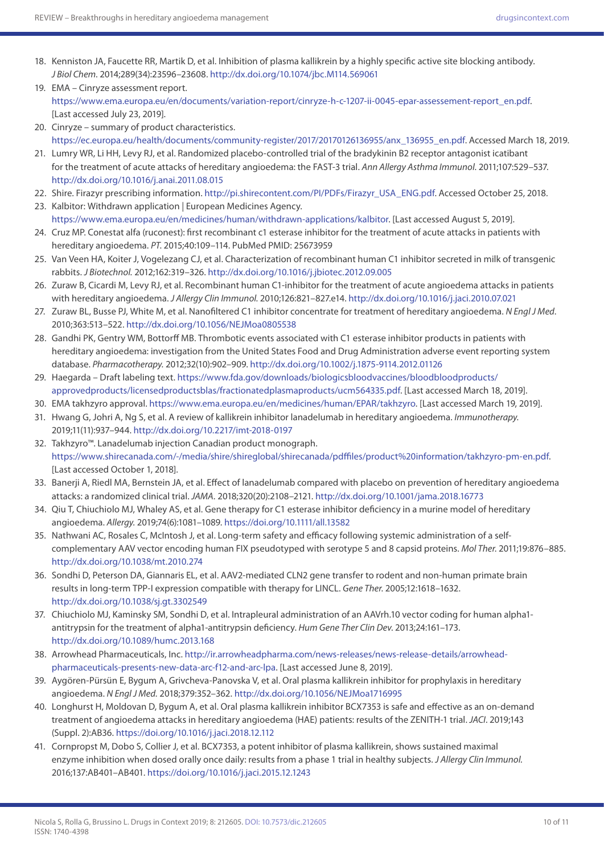- 18. Kenniston JA, Faucette RR, Martik D, et al. Inhibition of plasma kallikrein by a highly specific active site blocking antibody. *J Biol Chem*. 2014;289(34):23596–23608.<http://dx.doi.org/10.1074/jbc.M114.569061>
- 19. EMA Cinryze assessment report. [https://www.ema.europa.eu/en/documents/variation-report/cinryze-h-c-1207-ii-0045-epar-assessement-report\\_en.pdf.](https://www.ema.europa.eu/en/documents/variation-report/cinryze-h-c-1207-ii-0045-epar-assessement-report_en.pdf) [Last accessed July 23, 2019].
- 20. Cinryze summary of product characteristics. [https://ec.europa.eu/health/documents/community-register/2017/20170126136955/anx\\_136955\\_en.pdf](https://ec.europa.eu/health/documents/community-register/2017/20170126136955/anx_136955_en.pdf). Accessed March 18, 2019.
- 21. Lumry WR, Li HH, Levy RJ, et al. Randomized placebo-controlled trial of the bradykinin B2 receptor antagonist icatibant for the treatment of acute attacks of hereditary angioedema: the FAST-3 trial. *Ann Allergy Asthma Immunol*. 2011;107:529–537. <http://dx.doi.org/10.1016/j.anai.2011.08.015>
- 22. Shire. Firazyr prescribing information. [http://pi.shirecontent.com/PI/PDFs/Firazyr\\_USA\\_ENG.pdf.](http://pi.shirecontent.com/PI/PDFs/Firazyr_USA_ENG.pdf) Accessed October 25, 2018.
- 23. Kalbitor: Withdrawn application | European Medicines Agency. [https://www.ema.europa.eu/en/medicines/human/withdrawn-applications/kalbitor.](https://www.ema.europa.eu/en/medicines/human/withdrawn-applications/kalbitor) [Last accessed August 5, 2019].
- 24. Cruz MP. Conestat alfa (ruconest): first recombinant c1 esterase inhibitor for the treatment of acute attacks in patients with hereditary angioedema. *PT*. 2015;40:109–114. PubMed PMID: 25673959
- 25. Van Veen HA, Koiter J, Vogelezang CJ, et al. Characterization of recombinant human C1 inhibitor secreted in milk of transgenic rabbits. *J Biotechnol.* 2012;162:319–326.<http://dx.doi.org/10.1016/j.jbiotec.2012.09.005>
- 26. Zuraw B, Cicardi M, Levy RJ, et al. Recombinant human C1-inhibitor for the treatment of acute angioedema attacks in patients with hereditary angioedema. *J Allergy Clin Immunol.* 2010;126:821–827.e14. <http://dx.doi.org/10.1016/j.jaci.2010.07.021>
- 27. Zuraw BL, Busse PJ, White M, et al. Nanofiltered C1 inhibitor concentrate for treatment of hereditary angioedema. *N Engl J Med*. 2010;363:513–522. <http://dx.doi.org/10.1056/NEJMoa0805538>
- 28. Gandhi PK, Gentry WM, Bottorff MB. Thrombotic events associated with C1 esterase inhibitor products in patients with hereditary angioedema: investigation from the United States Food and Drug Administration adverse event reporting system database. *Pharmacotherapy.* 2012;32(10):902–909. <http://dx.doi.org/10.1002/j.1875-9114.2012.01126>
- 29. Haegarda Draft labeling text. [https://www.fda.gov/downloads/biologicsbloodvaccines/bloodbloodproducts/](https://www.fda.gov/downloads/biologicsbloodvaccines/bloodbloodproducts/approvedproducts/licensedproductsblas/fractionatedplasmaproducts/ucm564335.pdf) [approvedproducts/licensedproductsblas/fractionatedplasmaproducts/ucm564335.pdf.](https://www.fda.gov/downloads/biologicsbloodvaccines/bloodbloodproducts/approvedproducts/licensedproductsblas/fractionatedplasmaproducts/ucm564335.pdf) [Last accessed March 18, 2019].
- 30. EMA takhzyro approval. [https://www.ema.europa.eu/en/medicines/human/EPAR/takhzyro.](https://www.ema.europa.eu/en/medicines/human/EPAR/takhzyro) [Last accessed March 19, 2019].
- 31. Hwang G, Johri A, Ng S, et al. A review of kallikrein inhibitor lanadelumab in hereditary angioedema. *Immunotherapy.* 2019;11(11):937–944. <http://dx.doi.org/10.2217/imt-2018-0197>
- 32. Takhzyro™. Lanadelumab injection Canadian product monograph. <https://www.shirecanada.com/-/media/shire/shireglobal/shirecanada/pdffiles/product%20information/takhzyro-pm-en.pdf>. [Last accessed October 1, 2018].
- 33. Banerji A, Riedl MA, Bernstein JA, et al. Effect of lanadelumab compared with placebo on prevention of hereditary angioedema attacks: a randomized clinical trial. *JAMA.* 2018;320(20):2108–2121. <http://dx.doi.org/10.1001/jama.2018.16773>
- 34. Qiu T, Chiuchiolo MJ, Whaley AS, et al. Gene therapy for C1 esterase inhibitor deficiency in a murine model of hereditary angioedema. *Allergy.* 2019;74(6):1081–1089.<https://doi.org/10.1111/all.13582>
- 35. Nathwani AC, Rosales C, McIntosh J, et al. Long-term safety and efficacy following systemic administration of a selfcomplementary AAV vector encoding human FIX pseudotyped with serotype 5 and 8 capsid proteins. *Mol Ther*. 2011;19:876–885. <http://dx.doi.org/10.1038/mt.2010.274>
- 36. Sondhi D, Peterson DA, Giannaris EL, et al. AAV2-mediated CLN2 gene transfer to rodent and non-human primate brain results in long-term TPP-I expression compatible with therapy for LINCL. *Gene Ther*. 2005;12:1618–1632. <http://dx.doi.org/10.1038/sj.gt.3302549>
- 37. Chiuchiolo MJ, Kaminsky SM, Sondhi D, et al. Intrapleural administration of an AAVrh.10 vector coding for human alpha1 antitrypsin for the treatment of alpha1-antitrypsin deficiency. *Hum Gene Ther Clin Dev*. 2013;24:161–173. <http://dx.doi.org/10.1089/humc.2013.168>
- 38. Arrowhead Pharmaceuticals, Inc. [http://ir.arrowheadpharma.com/news-releases/news-release-details/arrowhead](http://ir.arrowheadpharma.com/news-releases/news-release-details/arrowhead-pharmaceuticals-presents-new-data-arc-f12-and-arc-lpa)[pharmaceuticals-presents-new-data-arc-f12-and-arc-lpa.](http://ir.arrowheadpharma.com/news-releases/news-release-details/arrowhead-pharmaceuticals-presents-new-data-arc-f12-and-arc-lpa) [Last accessed June 8, 2019].
- 39. Aygören-Pürsün E, Bygum A, Grivcheva-Panovska V, et al. Oral plasma kallikrein inhibitor for prophylaxis in hereditary angioedema. *N Engl J Med.* 2018;379:352–362.<http://dx.doi.org/10.1056/NEJMoa1716995>
- 40. Longhurst H, Moldovan D, Bygum A, et al. Oral plasma kallikrein inhibitor BCX7353 is safe and effective as an on-demand treatment of angioedema attacks in hereditary angioedema (HAE) patients: results of the ZENITH-1 trial. *JACI*. 2019;143 (Suppl. 2):AB36.<https://doi.org/10.1016/j.jaci.2018.12.112>
- 41. Cornpropst M, Dobo S, Collier J, et al. BCX7353, a potent inhibitor of plasma kallikrein, shows sustained maximal enzyme inhibition when dosed orally once daily: results from a phase 1 trial in healthy subjects. *J Allergy Clin Immunol.* 2016;137:AB401–AB401.<https://doi.org/10.1016/j.jaci.2015.12.1243>